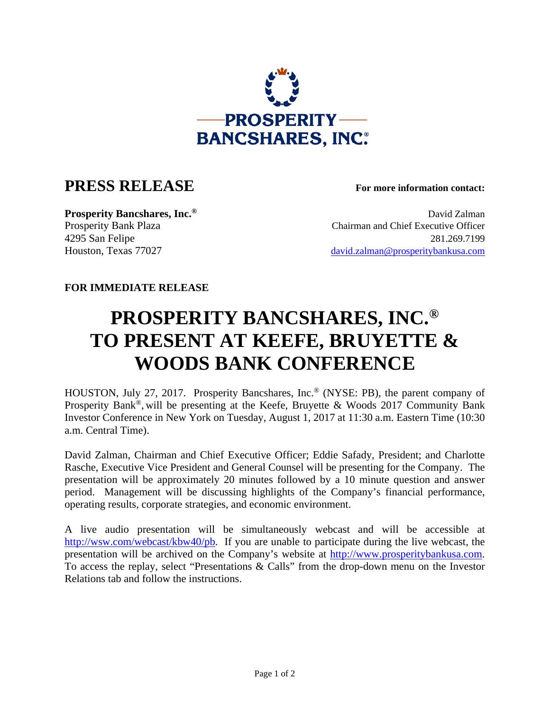

## **PRESS RELEASE For more information contact:**

**Prosperity Bancshares, Inc.<sup>®</sup> David Zalman** Prosperity Bank Plaza Chairman and Chief Executive Officer 4295 San Felipe 281.269.7199 Houston, Texas 77027 david.zalman@prosperitybankusa.com

## **FOR IMMEDIATE RELEASE**

## **PROSPERITY BANCSHARES, INC.® TO PRESENT AT KEEFE, BRUYETTE & WOODS BANK CONFERENCE**

HOUSTON, July 27, 2017. Prosperity Bancshares, Inc.® (NYSE: PB), the parent company of Prosperity Bank®, will be presenting at the Keefe, Bruyette & Woods 2017 Community Bank Investor Conference in New York on Tuesday, August 1, 2017 at 11:30 a.m. Eastern Time (10:30 a.m. Central Time).

David Zalman, Chairman and Chief Executive Officer; Eddie Safady, President; and Charlotte Rasche, Executive Vice President and General Counsel will be presenting for the Company. The presentation will be approximately 20 minutes followed by a 10 minute question and answer period. Management will be discussing highlights of the Company's financial performance, operating results, corporate strategies, and economic environment.

A live audio presentation will be simultaneously webcast and will be accessible at http://wsw.com/webcast/kbw40/pb. If you are unable to participate during the live webcast, the presentation will be archived on the Company's website at http://www.prosperitybankusa.com. To access the replay, select "Presentations & Calls" from the drop-down menu on the Investor Relations tab and follow the instructions.